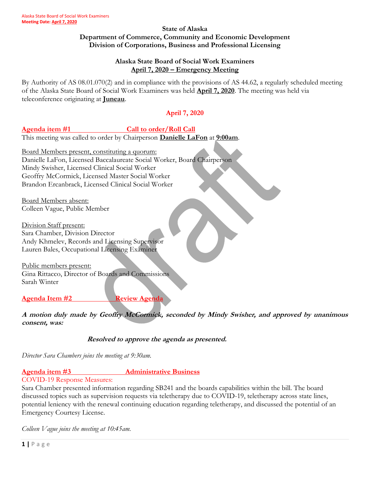#### **State of Alaska Department of Commerce, Community and Economic Development Division of Corporations, Business and Professional Licensing**

### **Alaska State Board of Social Work Examiners April 7, 2020 – Emergency Meeting**

By Authority of AS 08.01.070(2) and in compliance with the provisions of AS 44.62, a regularly scheduled meeting of the Alaska State Board of Social Work Examiners was held **April 7, 2020**. The meeting was held via teleconference originating at **Juneau**.

# **April 7, 2020**

### Agenda item #1 Call to order/Roll Call

This meeting was called to order by Chairperson **Danielle LaFon** at **9:00am**.

Board Members present, constituting a quorum: Danielle LaFon, Licensed Baccalaureate Social Worker, Board Chairperson Mindy Swisher, Licensed Clinical Social Worker Geoffry McCormick, Licensed Master Social Worker Brandon Ercanbrack, Licensed Clinical Social Worker

Board Members absent: Colleen Vague, Public Member

Division Staff present: Sara Chamber, Division Director Andy Khmelev, Records and Licensing Supervisor Lauren Bales, Occupational Licensing Examiner

Public members present: Gina Rittacco, Director of Boards and Commissions Sarah Winter

**Agenda Item #2** Review Agenda

**A motion duly made by Geoffry McCormick, seconded by Mindy Swisher, and approved by unanimous consent, was:**

### **Resolved to approve the agenda as presented.**

*Director Sara Chambers joins the meeting at 9:30am.*

## **Agenda item #3** Administrative Business

## COVID-19 Response Measures:

Sara Chamber presented information regarding SB241 and the boards capabilities within the bill. The board discussed topics such as supervision requests via teletherapy due to COVID-19, teletherapy across state lines, potential leniency with the renewal continuing education regarding teletherapy, and discussed the potential of an Emergency Courtesy License.

*Colleen Vague joins the meeting at 10:45am.*